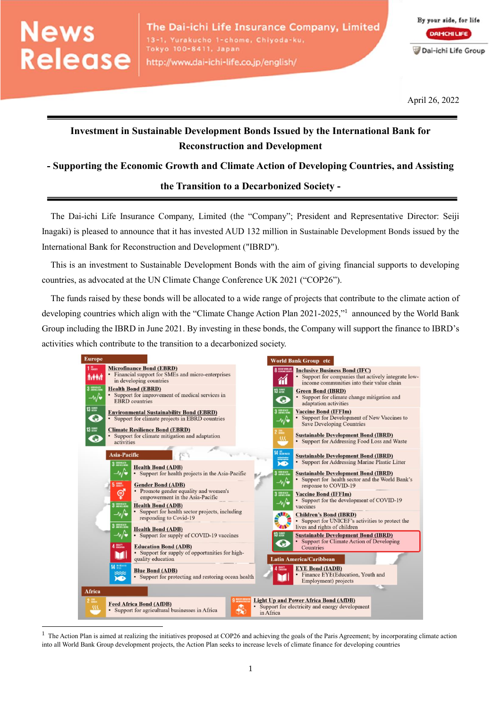# News **Release**

By your side, for life **DAHCHILIFE** Dai-ichi Life Group

April 26, 2022

## **Investment in Sustainable Development Bonds Issued by the International Bank for Reconstruction and Development**

### **- Supporting the Economic Growth and Climate Action of Developing Countries, and Assisting**

## **the Transition to a Decarbonized Society -**

The Dai-ichi Life Insurance Company, Limited (the "Company"; President and Representative Director: Seiji Inagaki) is pleased to announce that it has invested AUD 132 million in Sustainable Development Bonds issued by the International Bank for Reconstruction and Development ("IBRD").

This is an investment to Sustainable Development Bonds with the aim of giving financial supports to developing countries, as advocated at the UN Climate Change Conference UK 2021 ("COP26").

The funds raised by these bonds will be allocated to a wide range of projects that contribute to the climate action of developing countries which align with the "Climate Change Action Plan 2021-2025,"<sup>1</sup> announced by the World Bank Group including the IBRD in June 2021. By investing in these bonds, the Company will support the finance to IBRD's activities which contribute to the transition to a decarbonized society.



<sup>1</sup> The Action Plan is aimed at realizing the initiatives proposed at COP26 and achieving the goals of the Paris Agreement; by incorporating climate action into all World Bank Group development projects, the Action Plan seeks to increase levels of climate finance for developing countries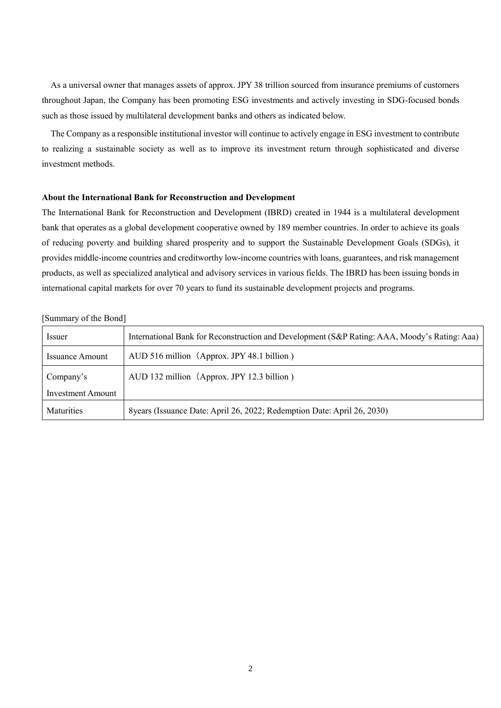As a universal owner that manages assets of approx. JPY 38 trillion sourced from insurance premiums of customers throughout Japan, the Company has been promoting ESG investments and actively investing in SDG-focused bonds such as those issued by multilateral development banks and others as indicated below.

The Company as a responsible institutional investor will continue to actively engage in ESG investment to contribute to realizing a sustainable society as well as to improve its investment return through sophisticated and diverse investment methods.

#### **About the International Bank for Reconstruction and Development**

The International Bank for Reconstruction and Development (IBRD) created in 1944 is a multilateral development bank that operates as a global development cooperative owned by 189 member countries. In order to achieve its goals of reducing poverty and building shared prosperity and to support the Sustainable Development Goals (SDGs), it provides middle-income countries and creditworthy low-income countries with loans, guarantees, and risk management products, as well as specialized analytical and advisory services in various fields. The IBRD has been issuing bonds in international capital markets for over 70 years to fund its sustainable development projects and programs.

#### [Summary of the Bond]

| Issuer            | International Bank for Reconstruction and Development (S&P Rating: AAA, Moody's Rating: Aaa) |  |  |
|-------------------|----------------------------------------------------------------------------------------------|--|--|
| Issuance Amount   | AUD 516 million (Approx. JPY 48.1 billion)                                                   |  |  |
| Company's         | AUD 132 million (Approx. JPY 12.3 billion)                                                   |  |  |
| Investment Amount |                                                                                              |  |  |
| <b>Maturities</b> | 8 years (Issuance Date: April 26, 2022; Redemption Date: April 26, 2030)                     |  |  |